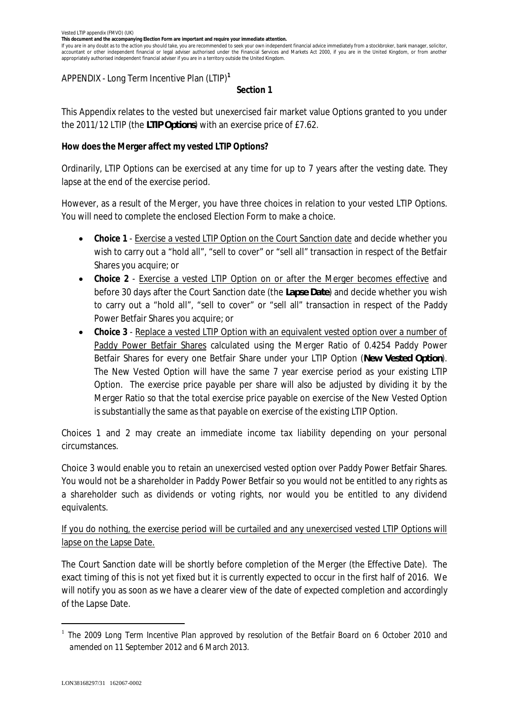**This document and the accompanying Election Form are important and require your immediate attention.**

If you are in any doubt as to the action you should take, you are recommended to seek your own independent financial advice immediately from a stockbroker, bank manager, solicitor, accountant or other independent financial or legal adviser authorised under the Financial Services and Markets Act 2000, if you are in the United Kingdom, or from another appropriately authorised independent financial adviser if you are in a territory outside the United Kingdom.

APPENDIX - Long Term Incentive Plan (LTIP)**<sup>1</sup>**

## **Section 1**

This Appendix relates to the vested but unexercised fair market value Options granted to you under the 2011/12 LTIP (the *LTIP Options*) with an exercise price of £7.62.

**How does the Merger affect my vested LTIP Options?**

Ordinarily, LTIP Options can be exercised at any time for up to 7 years after the vesting date. They lapse at the end of the exercise period.

However, as a result of the Merger, you have three choices in relation to your vested LTIP Options. You will need to complete the enclosed Election Form to make a choice.

- · **Choice 1** Exercise a vested LTIP Option on the Court Sanction date and decide whether you wish to carry out a "hold all", "sell to cover" or "sell all" transaction in respect of the Betfair Shares you acquire; or
- · **Choice 2** Exercise a vested LTIP Option on or after the Merger becomes effective and before 30 days after the Court Sanction date (the *Lapse Date*) and decide whether you wish to carry out a "hold all", "sell to cover" or "sell all" transaction in respect of the Paddy Power Betfair Shares you acquire; or
- · **Choice 3** Replace a vested LTIP Option with an equivalent vested option over a number of Paddy Power Betfair Shares calculated using the Merger Ratio of 0.4254 Paddy Power Betfair Shares for every one Betfair Share under your LTIP Option (*New Vested Option*). The New Vested Option will have the same 7 year exercise period as your existing LTIP Option. The exercise price payable per share will also be adjusted by dividing it by the Merger Ratio so that the total exercise price payable on exercise of the New Vested Option is substantially the same as that payable on exercise of the existing LTIP Option.

Choices 1 and 2 may create an immediate income tax liability depending on your personal circumstances.

Choice 3 would enable you to retain an unexercised vested option over Paddy Power Betfair Shares. You would not be a shareholder in Paddy Power Betfair so you would not be entitled to any rights as a shareholder such as dividends or voting rights, nor would you be entitled to any dividend equivalents.

If you do nothing, the exercise period will be curtailed and any unexercised vested LTIP Options will lapse on the Lapse Date.

The Court Sanction date will be shortly before completion of the Merger (the Effective Date). The exact timing of this is not yet fixed but it is currently expected to occur in the first half of 2016. We will notify you as soon as we have a clearer view of the date of expected completion and accordingly of the Lapse Date.

<sup>1</sup> *The 2009 Long Term Incentive Plan approved by resolution of the Betfair Board on 6 October 2010 and amended on 11 September 2012 and 6 March 2013.*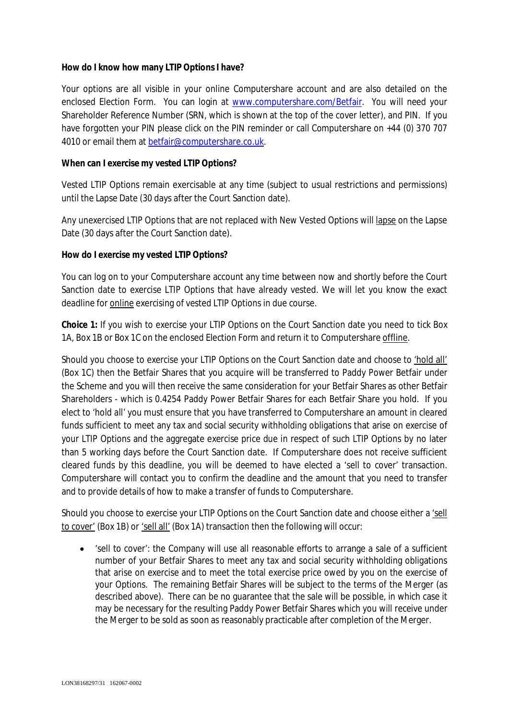**How do I know how many LTIP Options I have?**

Your options are all visible in your online Computershare account and are also detailed on the enclosed Election Form. You can login at www.computershare.com/Betfair. You will need your Shareholder Reference Number (SRN, which is shown at the top of the cover letter), and PIN. If you have forgotten your PIN please click on the PIN reminder or call Computershare on +44 (0) 370 707 4010 or email them at betfair@computershare.co.uk.

**When can I exercise my vested LTIP Options?**

*Vested* LTIP Options remain exercisable at any time (subject to usual restrictions and permissions) until the Lapse Date (30 days after the Court Sanction date).

Any unexercised LTIP Options that are not replaced with New Vested Options will lapse on the Lapse Date (30 days after the Court Sanction date).

**How do I exercise my vested LTIP Options?**

You can log on to your Computershare account any time between now and shortly before the Court Sanction date to exercise LTIP Options that have already vested. We will let you know the exact deadline for **online** exercising of vested LTIP Options in due course.

**Choice 1:** If you wish to exercise your LTIP Options on the Court Sanction date you need to tick Box 1A, Box 1B or Box 1C on the enclosed Election Form and return it to Computershare offline.

Should you choose to exercise your LTIP Options on the Court Sanction date and choose to 'hold all' (Box 1C) then the Betfair Shares that you acquire will be transferred to Paddy Power Betfair under the Scheme and you will then receive the same consideration for your Betfair Shares as other Betfair Shareholders - which is 0.4254 Paddy Power Betfair Shares for each Betfair Share you hold. If you elect to 'hold all' you must ensure that you have transferred to Computershare an amount in cleared funds sufficient to meet any tax and social security withholding obligations that arise on exercise of your LTIP Options and the aggregate exercise price due in respect of such LTIP Options by no later than 5 working days before the Court Sanction date. If Computershare does not receive sufficient cleared funds by this deadline, you will be deemed to have elected a 'sell to cover' transaction. Computershare will contact you to confirm the deadline and the amount that you need to transfer and to provide details of how to make a transfer of funds to Computershare.

Should you choose to exercise your LTIP Options on the Court Sanction date and choose either a 'sell to cover' (Box 1B) or 'sell all' (Box 1A) transaction then the following will occur:

· 'sell to cover': the Company will use all reasonable efforts to arrange a sale of a sufficient number of your Betfair Shares to meet any tax and social security withholding obligations that arise on exercise and to meet the total exercise price owed by you on the exercise of your Options. The remaining Betfair Shares will be subject to the terms of the Merger (as described above). There can be no guarantee that the sale will be possible, in which case it may be necessary for the resulting Paddy Power Betfair Shares which you will receive under the Merger to be sold as soon as reasonably practicable after completion of the Merger.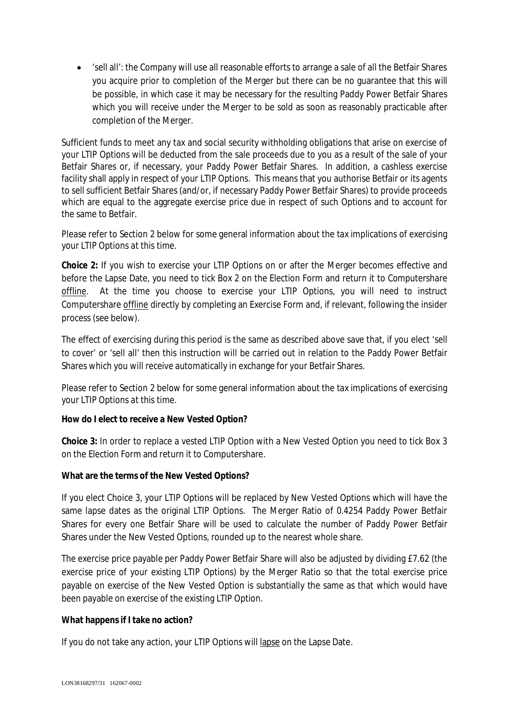· 'sell all': the Company will use all reasonable efforts to arrange a sale of all the Betfair Shares you acquire prior to completion of the Merger but there can be no guarantee that this will be possible, in which case it may be necessary for the resulting Paddy Power Betfair Shares which you will receive under the Merger to be sold as soon as reasonably practicable after completion of the Merger.

Sufficient funds to meet any tax and social security withholding obligations that arise on exercise of your LTIP Options will be deducted from the sale proceeds due to you as a result of the sale of your Betfair Shares or, if necessary, your Paddy Power Betfair Shares. In addition, a cashless exercise facility shall apply in respect of your LTIP Options. This means that you authorise Betfair or its agents to sell sufficient Betfair Shares (and/or, if necessary Paddy Power Betfair Shares) to provide proceeds which are equal to the aggregate exercise price due in respect of such Options and to account for the same to Betfair.

Please refer to Section 2 below for some general information about the tax implications of exercising your LTIP Options at this time.

**Choice 2:** If you wish to exercise your LTIP Options on or after the Merger becomes effective and before the Lapse Date, you need to tick Box 2 on the Election Form and return it to Computershare offline. At the time you choose to exercise your LTIP Options, you will need to instruct Computershare offline directly by completing an Exercise Form and, if relevant, following the insider process (see below).

The effect of exercising during this period is the same as described above save that, if you elect 'sell to cover' or 'sell all' then this instruction will be carried out in relation to the Paddy Power Betfair Shares which you will receive automatically in exchange for your Betfair Shares.

Please refer to Section 2 below for some general information about the tax implications of exercising your LTIP Options at this time.

**How do I elect to receive a New Vested Option?**

**Choice 3:** In order to replace a vested LTIP Option with a New Vested Option you need to tick Box 3 on the Election Form and return it to Computershare.

**What are the terms of the New Vested Options?**

If you elect Choice 3, your LTIP Options will be replaced by New Vested Options which will have the same lapse dates as the original LTIP Options. The Merger Ratio of 0.4254 Paddy Power Betfair Shares for every one Betfair Share will be used to calculate the number of Paddy Power Betfair Shares under the New Vested Options, rounded up to the nearest whole share.

The exercise price payable per Paddy Power Betfair Share will also be adjusted by dividing £7.62 (the exercise price of your existing LTIP Options) by the Merger Ratio so that the total exercise price payable on exercise of the New Vested Option is substantially the same as that which would have been payable on exercise of the existing LTIP Option.

**What happens if I take no action?**

If you do not take any action, your LTIP Options will lapse on the Lapse Date.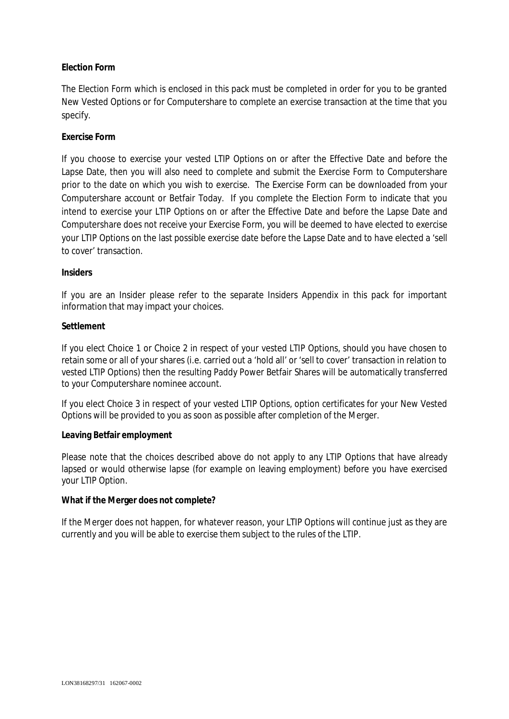# **Election Form**

The Election Form which is enclosed in this pack must be completed in order for you to be granted New Vested Options or for Computershare to complete an exercise transaction at the time that you specify.

# **Exercise Form**

If you choose to exercise your vested LTIP Options on or after the Effective Date and before the Lapse Date, then you will also need to complete and submit the Exercise Form to Computershare prior to the date on which you wish to exercise. The Exercise Form can be downloaded from your Computershare account or Betfair Today. If you complete the Election Form to indicate that you intend to exercise your LTIP Options on or after the Effective Date and before the Lapse Date and Computershare does not receive your Exercise Form, you will be deemed to have elected to exercise your LTIP Options on the last possible exercise date before the Lapse Date and to have elected a 'sell to cover' transaction.

# **Insiders**

If you are an Insider please refer to the separate Insiders Appendix in this pack for important information that may impact your choices.

## **Settlement**

If you elect Choice 1 or Choice 2 in respect of your vested LTIP Options, should you have chosen to retain some or all of your shares (i.e. carried out a 'hold all' or 'sell to cover' transaction in relation to vested LTIP Options) then the resulting Paddy Power Betfair Shares will be automatically transferred to your Computershare nominee account.

If you elect Choice 3 in respect of your vested LTIP Options, option certificates for your New Vested Options will be provided to you as soon as possible after completion of the Merger.

# **Leaving Betfair employment**

Please note that the choices described above do not apply to any LTIP Options that have already lapsed or would otherwise lapse (for example on leaving employment) before you have exercised your LTIP Option.

**What if the Merger does not complete?**

If the Merger does not happen, for whatever reason, your LTIP Options will continue just as they are currently and you will be able to exercise them subject to the rules of the LTIP.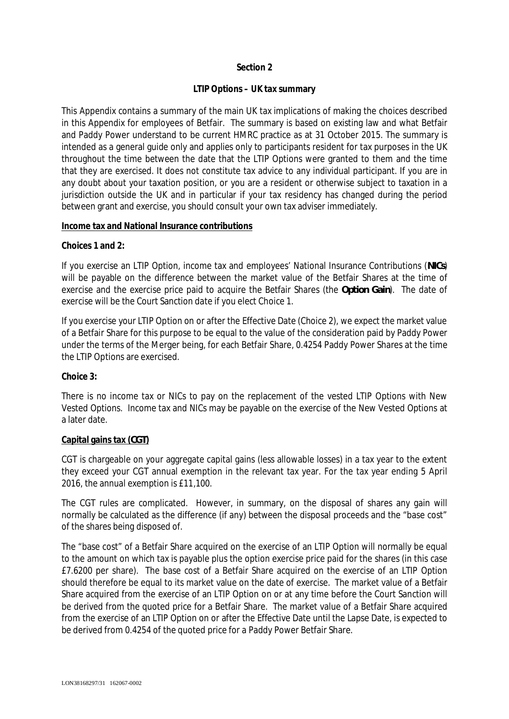## **Section 2**

## **LTIP Options – UK tax summary**

This Appendix contains a summary of the main UK tax implications of making the choices described in this Appendix for employees of Betfair. The summary is based on existing law and what Betfair and Paddy Power understand to be current HMRC practice as at 31 October 2015. The summary is intended as a general guide only and applies only to participants resident for tax purposes in the UK throughout the time between the date that the LTIP Options were granted to them and the time that they are exercised. It does not constitute tax advice to any individual participant. If you are in any doubt about your taxation position, or you are a resident or otherwise subject to taxation in a jurisdiction outside the UK and in particular if your tax residency has changed during the period between grant and exercise, you should consult your own tax adviser immediately.

#### **Income tax and National Insurance contributions**

### **Choices 1 and 2:**

If you exercise an LTIP Option, income tax and employees' National Insurance Contributions (*NICs*) will be payable on the difference between the market value of the Betfair Shares at the time of exercise and the exercise price paid to acquire the Betfair Shares (the *Option Gain*). The date of exercise will be the Court Sanction date if you elect Choice 1.

If you exercise your LTIP Option on or after the Effective Date (Choice 2), we expect the market value of a Betfair Share for this purpose to be equal to the value of the consideration paid by Paddy Power under the terms of the Merger being, for each Betfair Share, 0.4254 Paddy Power Shares at the time the LTIP Options are exercised.

### **Choice 3:**

There is no income tax or NICs to pay on the replacement of the vested LTIP Options with New Vested Options. Income tax and NICs may be payable on the exercise of the New Vested Options at a later date.

### **Capital gains tax (***CGT***)**

CGT is chargeable on your aggregate capital gains (less allowable losses) in a tax year to the extent they exceed your CGT annual exemption in the relevant tax year. For the tax year ending 5 April 2016, the annual exemption is £11,100.

The CGT rules are complicated. However, in summary, on the disposal of shares any gain will normally be calculated as the difference (if any) between the disposal proceeds and the "base cost" of the shares being disposed of.

The "base cost" of a Betfair Share acquired on the exercise of an LTIP Option will normally be equal to the amount on which tax is payable plus the option exercise price paid for the shares (in this case £7.6200 per share). The base cost of a Betfair Share acquired on the exercise of an LTIP Option should therefore be equal to its market value on the date of exercise. The market value of a Betfair Share acquired from the exercise of an LTIP Option on or at any time before the Court Sanction will be derived from the quoted price for a Betfair Share. The market value of a Betfair Share acquired from the exercise of an LTIP Option on or after the Effective Date until the Lapse Date, is expected to be derived from 0.4254 of the quoted price for a Paddy Power Betfair Share.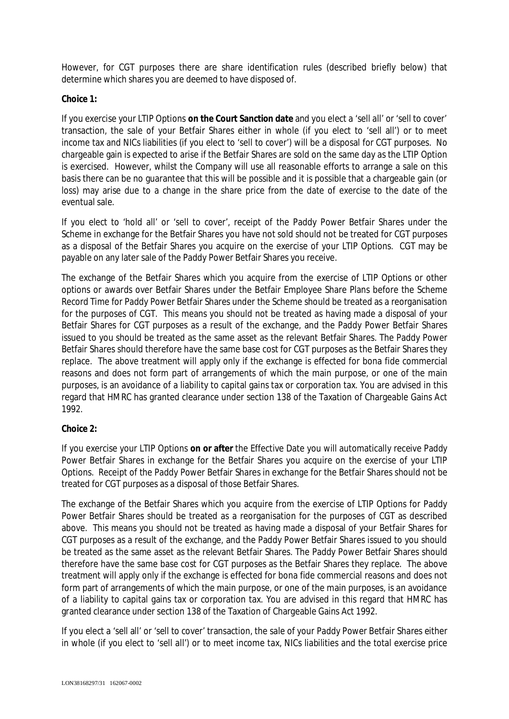However, for CGT purposes there are share identification rules (described briefly below) that determine which shares you are deemed to have disposed of.

## **Choice 1:**

If you exercise your LTIP Options **on the Court Sanction date** and you elect a 'sell all' or 'sell to cover' transaction, the sale of your Betfair Shares either in whole (if you elect to 'sell all') or to meet income tax and NICs liabilities (if you elect to 'sell to cover') will be a disposal for CGT purposes. No chargeable gain is expected to arise if the Betfair Shares are sold on the same day as the LTIP Option is exercised. However, whilst the Company will use all reasonable efforts to arrange a sale on this basis there can be no guarantee that this will be possible and it is possible that a chargeable gain (or loss) may arise due to a change in the share price from the date of exercise to the date of the eventual sale.

If you elect to 'hold all' or 'sell to cover', receipt of the Paddy Power Betfair Shares under the Scheme in exchange for the Betfair Shares you have not sold should not be treated for CGT purposes as a disposal of the Betfair Shares you acquire on the exercise of your LTIP Options. CGT may be payable on any later sale of the Paddy Power Betfair Shares you receive.

The exchange of the Betfair Shares which you acquire from the exercise of LTIP Options or other options or awards over Betfair Shares under the Betfair Employee Share Plans before the Scheme Record Time for Paddy Power Betfair Shares under the Scheme should be treated as a reorganisation for the purposes of CGT. This means you should not be treated as having made a disposal of your Betfair Shares for CGT purposes as a result of the exchange, and the Paddy Power Betfair Shares issued to you should be treated as the same asset as the relevant Betfair Shares. The Paddy Power Betfair Shares should therefore have the same base cost for CGT purposes as the Betfair Shares they replace. The above treatment will apply only if the exchange is effected for bona fide commercial reasons and does not form part of arrangements of which the main purpose, or one of the main purposes, is an avoidance of a liability to capital gains tax or corporation tax. You are advised in this regard that HMRC has granted clearance under section 138 of the Taxation of Chargeable Gains Act 1992.

# **Choice 2:**

If you exercise your LTIP Options **on or after** the Effective Date you will automatically receive Paddy Power Betfair Shares in exchange for the Betfair Shares you acquire on the exercise of your LTIP Options. Receipt of the Paddy Power Betfair Shares in exchange for the Betfair Shares should not be treated for CGT purposes as a disposal of those Betfair Shares.

The exchange of the Betfair Shares which you acquire from the exercise of LTIP Options for Paddy Power Betfair Shares should be treated as a reorganisation for the purposes of CGT as described above. This means you should not be treated as having made a disposal of your Betfair Shares for CGT purposes as a result of the exchange, and the Paddy Power Betfair Shares issued to you should be treated as the same asset as the relevant Betfair Shares. The Paddy Power Betfair Shares should therefore have the same base cost for CGT purposes as the Betfair Shares they replace. The above treatment will apply only if the exchange is effected for bona fide commercial reasons and does not form part of arrangements of which the main purpose, or one of the main purposes, is an avoidance of a liability to capital gains tax or corporation tax. You are advised in this regard that HMRC has granted clearance under section 138 of the Taxation of Chargeable Gains Act 1992.

If you elect a 'sell all' or 'sell to cover' transaction, the sale of your Paddy Power Betfair Shares either in whole (if you elect to 'sell all') or to meet income tax, NICs liabilities and the total exercise price